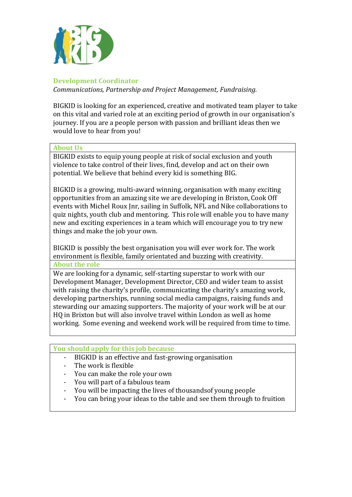

### **Development Coordinator**

*Communications, Partnership and Project Management, Fundraising.*

BIGKID is looking for an experienced, creative and motivated team player to take on this vital and varied role at an exciting period of growth in our organisation's journey. If you are a people person with passion and brilliant ideas then we would love to hear from you!

#### **About Us**

BIGKID exists to equip young people at risk of social exclusion and youth violence to take control of their lives, find, develop and act on their own potential. We believe that behind every kid is something BIG.

BIGKID is a growing, multi-award winning, organisation with many exciting opportunities from an amazing site we are developing in Brixton, Cook Off events with Michel Roux Jnr, sailing in Suffolk, NFL and Nike collaborations to quiz nights, youth club and mentoring. This role will enable you to have many new and exciting experiences in a team which will encourage you to try new things and make the job your own.

BIGKID is possibly the best organisation you will ever work for. The work environment is flexible, family orientated and buzzing with creativity. **About the role**

We are looking for a dynamic, self-starting superstar to work with our Development Manager, Development Director, CEO and wider team to assist with raising the charity's profile, communicating the charity's amazing work, developing partnerships, running social media campaigns, raising funds and stewarding our amazing supporters. The majority of your work will be at our HQ in Brixton but will also involve travel within London as well as home working. Some evening and weekend work will be required from time to time.

### **You should apply for this job because**

- BIGKID is an effective and fast-growing organisation
- The work is flexible
- You can make the role your own
- You will part of a fabulous team
- You will be impacting the lives of thousands of young people
- You can bring your ideas to the table and see them through to fruition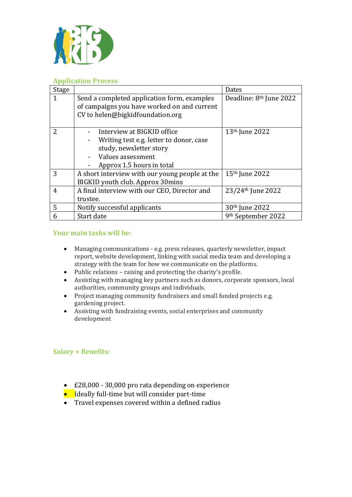

#### **Application Process**

| Stage         |                                                                                                                                                    | Dates                               |
|---------------|----------------------------------------------------------------------------------------------------------------------------------------------------|-------------------------------------|
| 1             | Send a completed application form, examples<br>of campaigns you have worked on and current<br>CV to helen@bigkidfoundation.org                     | Deadline: 8 <sup>th</sup> June 2022 |
| $\mathcal{P}$ | Interview at BIGKID office<br>Writing test e.g. letter to donor, case<br>study, newsletter story<br>Values assessment<br>Approx 1.5 hours in total | 13 <sup>th</sup> June 2022          |
| 3             | A short interview with our young people at the<br>BIGKID youth club. Approx 30mins                                                                 | 15 <sup>th</sup> June 2022          |
| 4             | A final interview with our CEO, Director and<br>trustee.                                                                                           | 23/24 <sup>th</sup> June 2022       |
| 5             | Notify successful applicants                                                                                                                       | 30 <sup>th</sup> June 2022          |
| 6             | Start date                                                                                                                                         | 9 <sup>th</sup> September 2022      |

#### **Your main tasks will be:**

- Managing communications e.g. press releases, quarterly newsletter, impact report, website development, linking with social media team and developing a strategy with the team for how we communicate on the platforms.
- Public relations raising and protecting the charity's profile.
- Assisting with managing key partners such as donors, corporate sponsors, local authorities, community groups and individuals.
- Project managing community fundraisers and small funded projects e.g. gardening project.
- Assisting with fundraising events, social enterprises and community development

#### **Salary + Benefits:**

- £28,000 30,000 pro rata depending on experience
- Ideally full-time but will consider part-time
- Travel expenses covered within a defined radius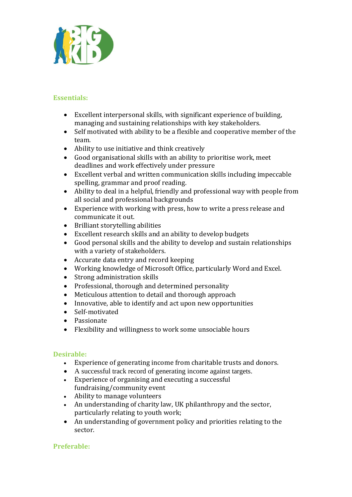

## **Essentials:**

- Excellent interpersonal skills, with significant experience of building, managing and sustaining relationships with key stakeholders.
- Self motivated with ability to be a flexible and cooperative member of the team.
- Ability to use initiative and think creatively
- Good organisational skills with an ability to prioritise work, meet deadlines and work effectively under pressure
- Excellent verbal and written communication skills including impeccable spelling, grammar and proof reading.
- Ability to deal in a helpful, friendly and professional way with people from all social and professional backgrounds
- Experience with working with press, how to write a press release and communicate it out.
- Brilliant storytelling abilities
- Excellent research skills and an ability to develop budgets
- Good personal skills and the ability to develop and sustain relationships with a variety of stakeholders.
- Accurate data entry and record keeping
- Working knowledge of Microsoft Office, particularly Word and Excel.
- Strong administration skills
- Professional, thorough and determined personality
- Meticulous attention to detail and thorough approach
- Innovative, able to identify and act upon new opportunities
- Self-motivated
- Passionate
- Flexibility and willingness to work some unsociable hours

#### **Desirable:**

- Experience of generating income from charitable trusts and donors.
- A successful track record of generating income against targets.
- Experience of organising and executing a successful fundraising/community event
- Ability to manage volunteers
- An understanding of charity law, UK philanthropy and the sector, particularly relating to youth work;
- An understanding of government policy and priorities relating to the sector.

# **Preferable:**